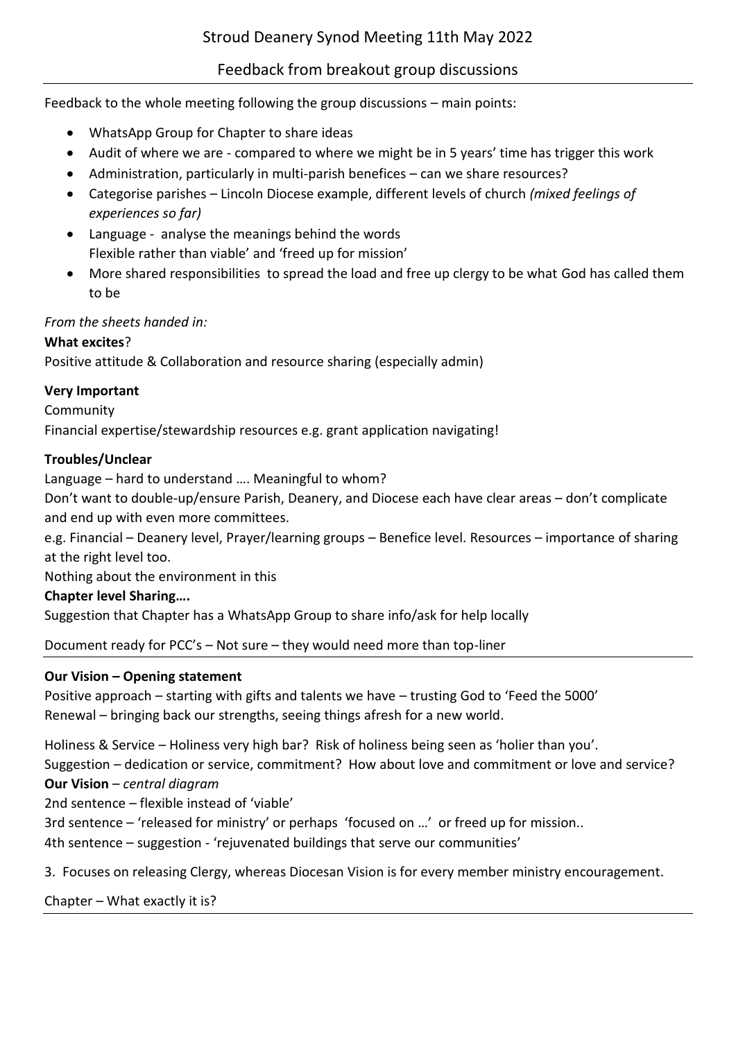# Feedback from breakout group discussions

Feedback to the whole meeting following the group discussions – main points:

- WhatsApp Group for Chapter to share ideas
- Audit of where we are compared to where we might be in 5 years' time has trigger this work
- Administration, particularly in multi-parish benefices can we share resources?
- Categorise parishes Lincoln Diocese example, different levels of church *(mixed feelings of experiences so far)*
- Language analyse the meanings behind the words Flexible rather than viable' and 'freed up for mission'
- More shared responsibilities to spread the load and free up clergy to be what God has called them to be

## *From the sheets handed in:*

## **What excites**?

Positive attitude & Collaboration and resource sharing (especially admin)

## **Very Important**

Community

Financial expertise/stewardship resources e.g. grant application navigating!

## **Troubles/Unclear**

Language – hard to understand …. Meaningful to whom?

Don't want to double-up/ensure Parish, Deanery, and Diocese each have clear areas – don't complicate and end up with even more committees.

e.g. Financial – Deanery level, Prayer/learning groups – Benefice level. Resources – importance of sharing at the right level too.

Nothing about the environment in this

## **Chapter level Sharing….**

Suggestion that Chapter has a WhatsApp Group to share info/ask for help locally

Document ready for PCC's – Not sure – they would need more than top-liner

## **Our Vision – Opening statement**

Positive approach – starting with gifts and talents we have – trusting God to 'Feed the 5000' Renewal – bringing back our strengths, seeing things afresh for a new world.

Holiness & Service – Holiness very high bar? Risk of holiness being seen as 'holier than you'.

Suggestion – dedication or service, commitment? How about love and commitment or love and service? **Our Vision** – *central diagram*

2nd sentence – flexible instead of 'viable'

3rd sentence – 'released for ministry' or perhaps 'focused on …' or freed up for mission..

4th sentence – suggestion - 'rejuvenated buildings that serve our communities'

3. Focuses on releasing Clergy, whereas Diocesan Vision is for every member ministry encouragement.

Chapter – What exactly it is?